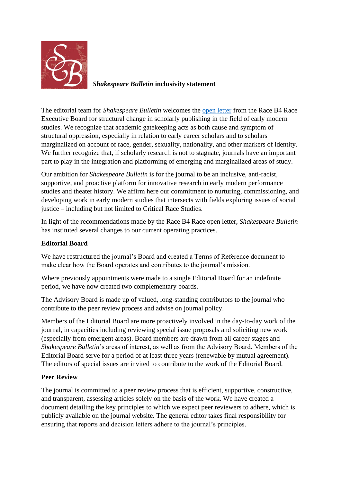

## *Shakespeare Bulletin* **inclusivity statement**

The editorial team for *Shakespeare Bulletin* welcomes the [open letter](https://medium.com/the-sundial-acmrs/its-time-to-end-the-publishing-gatekeeping-75207525f587) from the Race B4 Race Executive Board for structural change in scholarly publishing in the field of early modern studies. We recognize that academic gatekeeping acts as both cause and symptom of structural oppression, especially in relation to early career scholars and to scholars marginalized on account of race, gender, sexuality, nationality, and other markers of identity. We further recognize that, if scholarly research is not to stagnate, journals have an important part to play in the integration and platforming of emerging and marginalized areas of study.

Our ambition for *Shakespeare Bulletin* is for the journal to be an inclusive, anti-racist, supportive, and proactive platform for innovative research in early modern performance studies and theater history. We affirm here our commitment to nurturing, commissioning, and developing work in early modern studies that intersects with fields exploring issues of social justice – including but not limited to Critical Race Studies.

In light of the recommendations made by the Race B4 Race open letter, *Shakespeare Bulletin* has instituted several changes to our current operating practices.

#### **Editorial Board**

We have restructured the journal's Board and created a Terms of Reference document to make clear how the Board operates and contributes to the journal's mission.

Where previously appointments were made to a single Editorial Board for an indefinite period, we have now created two complementary boards.

The Advisory Board is made up of valued, long-standing contributors to the journal who contribute to the peer review process and advise on journal policy.

Members of the Editorial Board are more proactively involved in the day-to-day work of the journal, in capacities including reviewing special issue proposals and soliciting new work (especially from emergent areas). Board members are drawn from all career stages and *Shakespeare Bulletin*'s areas of interest, as well as from the Advisory Board. Members of the Editorial Board serve for a period of at least three years (renewable by mutual agreement). The editors of special issues are invited to contribute to the work of the Editorial Board.

### **Peer Review**

The journal is committed to a peer review process that is efficient, supportive, constructive, and transparent, assessing articles solely on the basis of the work. We have created a document detailing the key principles to which we expect peer reviewers to adhere, which is publicly available on the journal website. The general editor takes final responsibility for ensuring that reports and decision letters adhere to the journal's principles.